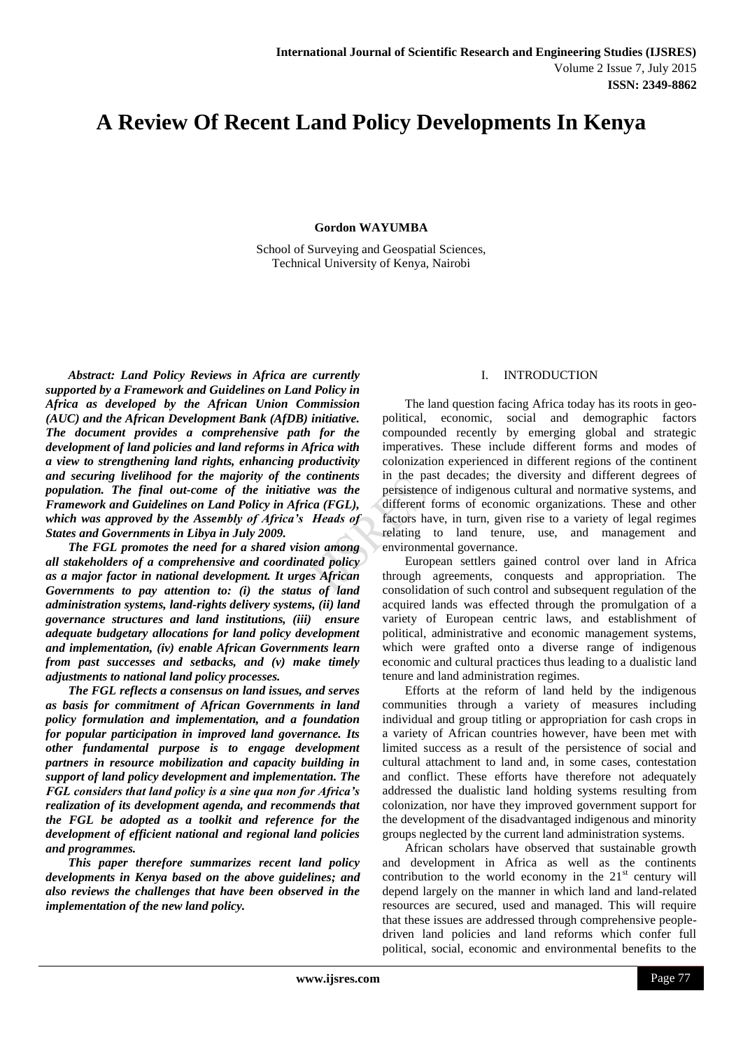# **A Review Of Recent Land Policy Developments In Kenya**

**Gordon WAYUMBA**

School of Surveying and Geospatial Sciences, Technical University of Kenya, Nairobi

*Abstract: Land Policy Reviews in Africa are currently supported by a Framework and Guidelines on Land Policy in Africa as developed by the African Union Commission (AUC) and the African Development Bank (AfDB) initiative. The document provides a comprehensive path for the development of land policies and land reforms in Africa with a view to strengthening land rights, enhancing productivity and securing livelihood for the majority of the continents population. The final out-come of the initiative was the Framework and Guidelines on Land Policy in Africa (FGL), which was approved by the Assembly of Africa's Heads of States and Governments in Libya in July 2009.*

*The FGL promotes the need for a shared vision among all stakeholders of a comprehensive and coordinated policy as a major factor in national development. It urges African Governments to pay attention to: (i) the status of land administration systems, land-rights delivery systems, (ii) land governance structures and land institutions, (iii) ensure adequate budgetary allocations for land policy development and implementation, (iv) enable African Governments learn from past successes and setbacks, and (v) make timely adjustments to national land policy processes.* 

*The FGL reflects a consensus on land issues, and serves as basis for commitment of African Governments in land policy formulation and implementation, and a foundation for popular participation in improved land governance. Its other fundamental purpose is to engage development partners in resource mobilization and capacity building in support of land policy development and implementation. The FGL considers that land policy is a sine qua non for Africa's realization of its development agenda, and recommends that the FGL be adopted as a toolkit and reference for the development of efficient national and regional land policies and programmes.*

*This paper therefore summarizes recent land policy developments in Kenya based on the above guidelines; and also reviews the challenges that have been observed in the implementation of the new land policy.*

# I. INTRODUCTION

The land question facing Africa today has its roots in geopolitical, economic, social and demographic factors compounded recently by emerging global and strategic imperatives. These include different forms and modes of colonization experienced in different regions of the continent in the past decades; the diversity and different degrees of persistence of indigenous cultural and normative systems, and different forms of economic organizations. These and other factors have, in turn, given rise to a variety of legal regimes relating to land tenure, use, and management and environmental governance.

European settlers gained control over land in Africa through agreements, conquests and appropriation. The consolidation of such control and subsequent regulation of the acquired lands was effected through the promulgation of a variety of European centric laws, and establishment of political, administrative and economic management systems, which were grafted onto a diverse range of indigenous economic and cultural practices thus leading to a dualistic land tenure and land administration regimes.

Efforts at the reform of land held by the indigenous communities through a variety of measures including individual and group titling or appropriation for cash crops in a variety of African countries however, have been met with limited success as a result of the persistence of social and cultural attachment to land and, in some cases, contestation and conflict. These efforts have therefore not adequately addressed the dualistic land holding systems resulting from colonization, nor have they improved government support for the development of the disadvantaged indigenous and minority groups neglected by the current land administration systems.

African scholars have observed that sustainable growth and development in Africa as well as the continents contribution to the world economy in the  $21<sup>st</sup>$  century will depend largely on the manner in which land and land-related resources are secured, used and managed. This will require that these issues are addressed through comprehensive peopledriven land policies and land reforms which confer full political, social, economic and environmental benefits to the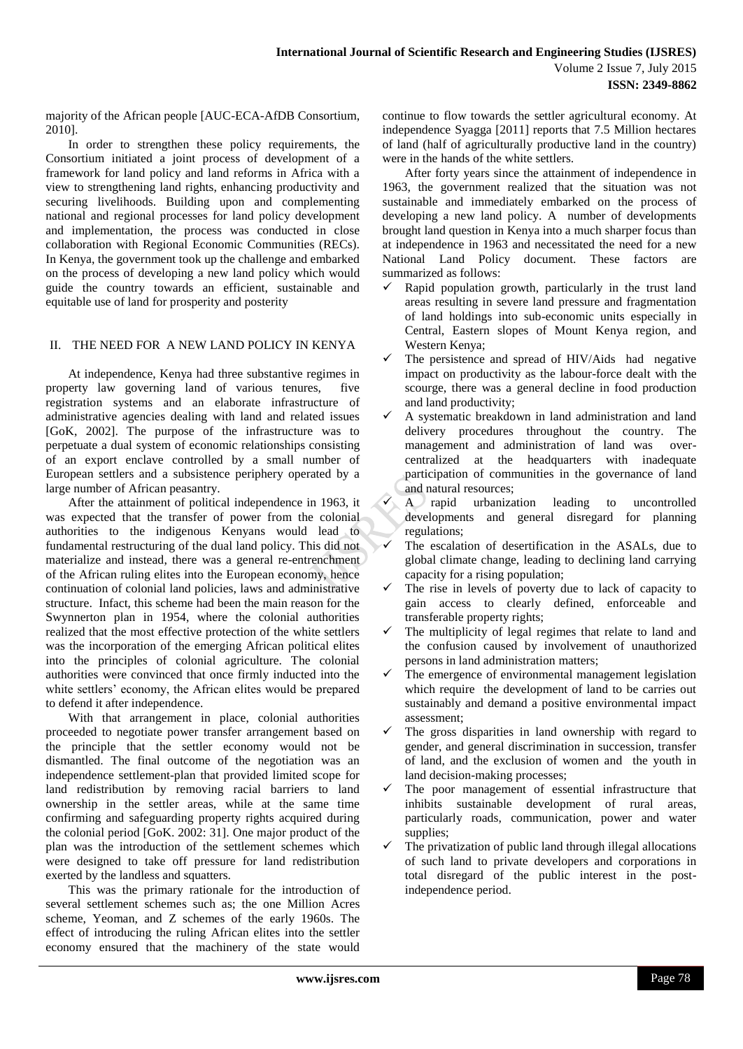majority of the African people [AUC-ECA-AfDB Consortium, 2010].

In order to strengthen these policy requirements, the Consortium initiated a joint process of development of a framework for land policy and land reforms in Africa with a view to strengthening land rights, enhancing productivity and securing livelihoods. Building upon and complementing national and regional processes for land policy development and implementation, the process was conducted in close collaboration with Regional Economic Communities (RECs). In Kenya, the government took up the challenge and embarked on the process of developing a new land policy which would guide the country towards an efficient, sustainable and equitable use of land for prosperity and posterity

# II. THE NEED FOR A NEW LAND POLICY IN KENYA

At independence, Kenya had three substantive regimes in property law governing land of various tenures, five registration systems and an elaborate infrastructure of administrative agencies dealing with land and related issues [GoK, 2002]. The purpose of the infrastructure was to perpetuate a dual system of economic relationships consisting of an export enclave controlled by a small number of European settlers and a subsistence periphery operated by a large number of African peasantry.

After the attainment of political independence in 1963, it was expected that the transfer of power from the colonial authorities to the indigenous Kenyans would lead to fundamental restructuring of the dual land policy. This did not materialize and instead, there was a general re-entrenchment of the African ruling elites into the European economy, hence continuation of colonial land policies, laws and administrative structure. Infact, this scheme had been the main reason for the Swynnerton plan in 1954, where the colonial authorities realized that the most effective protection of the white settlers was the incorporation of the emerging African political elites into the principles of colonial agriculture. The colonial authorities were convinced that once firmly inducted into the white settlers' economy, the African elites would be prepared to defend it after independence.

With that arrangement in place, colonial authorities proceeded to negotiate power transfer arrangement based on the principle that the settler economy would not be dismantled. The final outcome of the negotiation was an independence settlement-plan that provided limited scope for land redistribution by removing racial barriers to land ownership in the settler areas, while at the same time confirming and safeguarding property rights acquired during the colonial period [GoK. 2002: 31]. One major product of the plan was the introduction of the settlement schemes which were designed to take off pressure for land redistribution exerted by the landless and squatters.

This was the primary rationale for the introduction of several settlement schemes such as; the one Million Acres scheme, Yeoman, and Z schemes of the early 1960s. The effect of introducing the ruling African elites into the settler economy ensured that the machinery of the state would continue to flow towards the settler agricultural economy. At independence Syagga [2011] reports that 7.5 Million hectares of land (half of agriculturally productive land in the country) were in the hands of the white settlers.

After forty years since the attainment of independence in 1963, the government realized that the situation was not sustainable and immediately embarked on the process of developing a new land policy. A number of developments brought land question in Kenya into a much sharper focus than at independence in 1963 and necessitated the need for a new National Land Policy document. These factors are summarized as follows:

- Rapid population growth, particularly in the trust land areas resulting in severe land pressure and fragmentation of land holdings into sub-economic units especially in Central, Eastern slopes of Mount Kenya region, and Western Kenya;
- The persistence and spread of HIV/Aids had negative impact on productivity as the labour-force dealt with the scourge, there was a general decline in food production and land productivity;
- A systematic breakdown in land administration and land delivery procedures throughout the country. The management and administration of land was overcentralized at the headquarters with inadequate participation of communities in the governance of land and natural resources;
- A rapid urbanization leading to uncontrolled developments and general disregard for planning regulations;
- $\checkmark$  The escalation of desertification in the ASALs, due to global climate change, leading to declining land carrying capacity for a rising population;
- The rise in levels of poverty due to lack of capacity to gain access to clearly defined, enforceable and transferable property rights;
- $\checkmark$  The multiplicity of legal regimes that relate to land and the confusion caused by involvement of unauthorized persons in land administration matters;
- The emergence of environmental management legislation which require the development of land to be carries out sustainably and demand a positive environmental impact assessment;
- The gross disparities in land ownership with regard to gender, and general discrimination in succession, transfer of land, and the exclusion of women and the youth in land decision-making processes;
- The poor management of essential infrastructure that inhibits sustainable development of rural areas, particularly roads, communication, power and water supplies;
- The privatization of public land through illegal allocations of such land to private developers and corporations in total disregard of the public interest in the postindependence period.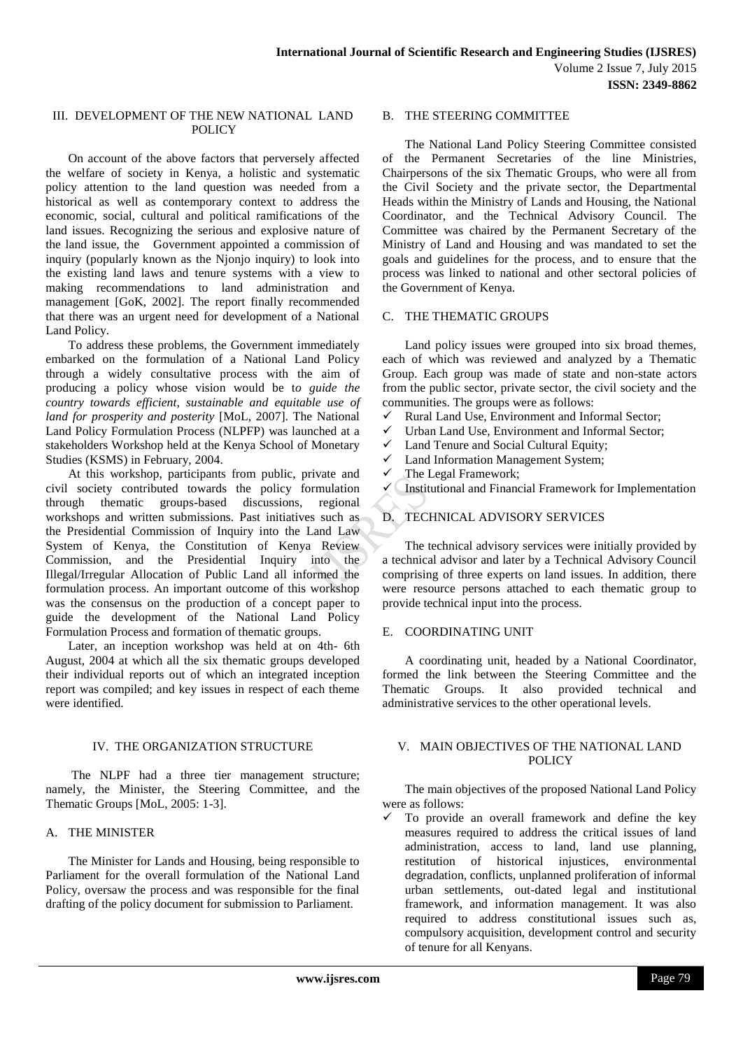## III. DEVELOPMENT OF THE NEW NATIONAL LAND POLICY

On account of the above factors that perversely affected the welfare of society in Kenya, a holistic and systematic policy attention to the land question was needed from a historical as well as contemporary context to address the economic, social, cultural and political ramifications of the land issues. Recognizing the serious and explosive nature of the land issue, the Government appointed a commission of inquiry (popularly known as the Njonjo inquiry) to look into the existing land laws and tenure systems with a view to making recommendations to land administration and management [GoK, 2002]. The report finally recommended that there was an urgent need for development of a National Land Policy.

To address these problems, the Government immediately embarked on the formulation of a National Land Policy through a widely consultative process with the aim of producing a policy whose vision would be t*o guide the country towards efficient, sustainable and equitable use of land for prosperity and posterity* [MoL, 2007]. The National Land Policy Formulation Process (NLPFP) was launched at a stakeholders Workshop held at the Kenya School of Monetary Studies (KSMS) in February, 2004.

At this workshop, participants from public, private and civil society contributed towards the policy formulation through thematic groups-based discussions, regional workshops and written submissions. Past initiatives such as the Presidential Commission of Inquiry into the Land Law System of Kenya, the Constitution of Kenya Review Commission, and the Presidential Inquiry into the Illegal/Irregular Allocation of Public Land all informed the formulation process. An important outcome of this workshop was the consensus on the production of a concept paper to guide the development of the National Land Policy Formulation Process and formation of thematic groups.

Later, an inception workshop was held at on 4th- 6th August, 2004 at which all the six thematic groups developed their individual reports out of which an integrated inception report was compiled; and key issues in respect of each theme were identified.

# IV. THE ORGANIZATION STRUCTURE

The NLPF had a three tier management structure; namely, the Minister, the Steering Committee, and the Thematic Groups [MoL, 2005: 1-3].

# A. THE MINISTER

The Minister for Lands and Housing, being responsible to Parliament for the overall formulation of the National Land Policy, oversaw the process and was responsible for the final drafting of the policy document for submission to Parliament.

#### B. THE STEERING COMMITTEE

The National Land Policy Steering Committee consisted of the Permanent Secretaries of the line Ministries, Chairpersons of the six Thematic Groups, who were all from the Civil Society and the private sector, the Departmental Heads within the Ministry of Lands and Housing, the National Coordinator, and the Technical Advisory Council. The Committee was chaired by the Permanent Secretary of the Ministry of Land and Housing and was mandated to set the goals and guidelines for the process, and to ensure that the process was linked to national and other sectoral policies of the Government of Kenya.

# C. THE THEMATIC GROUPS

Land policy issues were grouped into six broad themes, each of which was reviewed and analyzed by a Thematic Group. Each group was made of state and non-state actors from the public sector, private sector, the civil society and the communities. The groups were as follows:

- Rural Land Use, Environment and Informal Sector;
- Urban Land Use, Environment and Informal Sector;
- Land Tenure and Social Cultural Equity;
- Land Information Management System;
- The Legal Framework;

Institutional and Financial Framework for Implementation

# D. TECHNICAL ADVISORY SERVICES

The technical advisory services were initially provided by a technical advisor and later by a Technical Advisory Council comprising of three experts on land issues. In addition, there were resource persons attached to each thematic group to provide technical input into the process.

#### E. COORDINATING UNIT

A coordinating unit, headed by a National Coordinator, formed the link between the Steering Committee and the Thematic Groups. It also provided technical and administrative services to the other operational levels.

#### V. MAIN OBJECTIVES OF THE NATIONAL LAND **POLICY**

The main objectives of the proposed National Land Policy were as follows:

 $\checkmark$  To provide an overall framework and define the key measures required to address the critical issues of land administration, access to land, land use planning, restitution of historical injustices, environmental degradation, conflicts, unplanned proliferation of informal urban settlements, out-dated legal and institutional framework, and information management. It was also required to address constitutional issues such as, compulsory acquisition, development control and security of tenure for all Kenyans.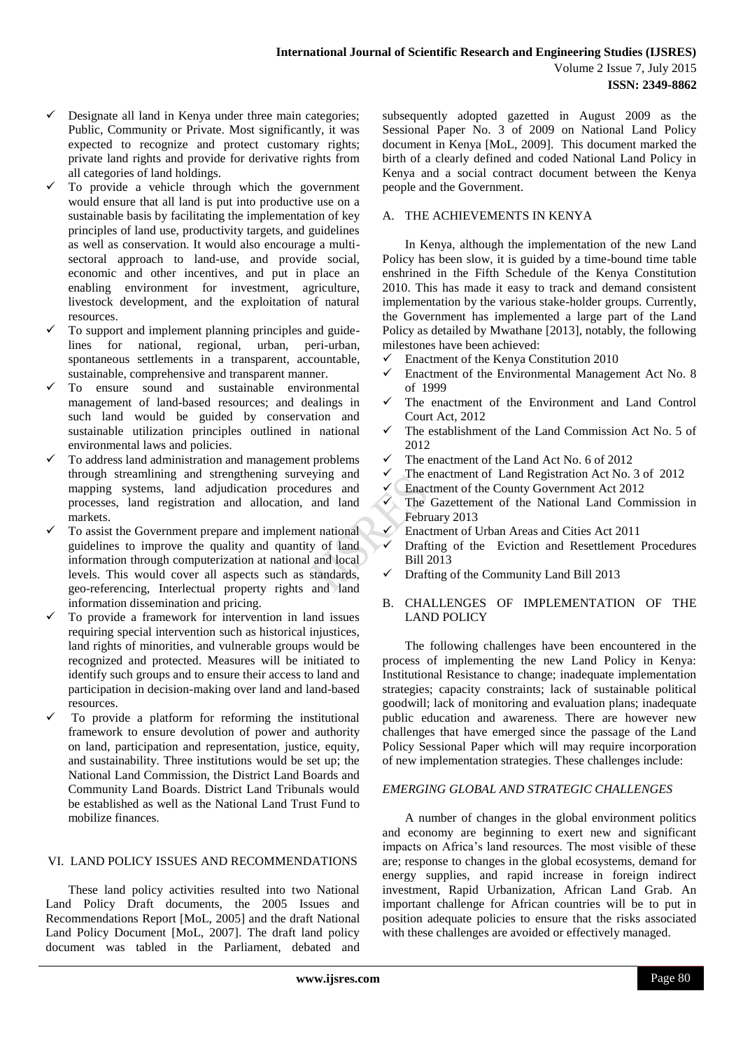- Designate all land in Kenya under three main categories; Public, Community or Private. Most significantly, it was expected to recognize and protect customary rights; private land rights and provide for derivative rights from all categories of land holdings.
- To provide a vehicle through which the government would ensure that all land is put into productive use on a sustainable basis by facilitating the implementation of key principles of land use, productivity targets, and guidelines as well as conservation. It would also encourage a multisectoral approach to land-use, and provide social, economic and other incentives, and put in place an enabling environment for investment, agriculture, livestock development, and the exploitation of natural resources.
- To support and implement planning principles and guidelines for national, regional, urban, peri-urban, spontaneous settlements in a transparent, accountable, sustainable, comprehensive and transparent manner.
- To ensure sound and sustainable environmental management of land-based resources; and dealings in such land would be guided by conservation and sustainable utilization principles outlined in national environmental laws and policies.
- To address land administration and management problems through streamlining and strengthening surveying and mapping systems, land adjudication procedures and processes, land registration and allocation, and land markets.
- To assist the Government prepare and implement national guidelines to improve the quality and quantity of land information through computerization at national and local levels. This would cover all aspects such as standards, geo-referencing, Interlectual property rights and land information dissemination and pricing.
- To provide a framework for intervention in land issues requiring special intervention such as historical injustices, land rights of minorities, and vulnerable groups would be recognized and protected. Measures will be initiated to identify such groups and to ensure their access to land and participation in decision-making over land and land-based resources.
- To provide a platform for reforming the institutional framework to ensure devolution of power and authority on land, participation and representation, justice, equity, and sustainability. Three institutions would be set up; the National Land Commission, the District Land Boards and Community Land Boards. District Land Tribunals would be established as well as the National Land Trust Fund to mobilize finances.

#### VI. LAND POLICY ISSUES AND RECOMMENDATIONS

These land policy activities resulted into two National Land Policy Draft documents, the 2005 Issues and Recommendations Report [MoL, 2005] and the draft National Land Policy Document [MoL, 2007]. The draft land policy document was tabled in the Parliament, debated and subsequently adopted gazetted in August 2009 as the Sessional Paper No. 3 of 2009 on National Land Policy document in Kenya [MoL, 2009]. This document marked the birth of a clearly defined and coded National Land Policy in Kenya and a social contract document between the Kenya people and the Government.

# A. THE ACHIEVEMENTS IN KENYA

In Kenya, although the implementation of the new Land Policy has been slow, it is guided by a time-bound time table enshrined in the Fifth Schedule of the Kenya Constitution 2010. This has made it easy to track and demand consistent implementation by the various stake-holder groups. Currently, the Government has implemented a large part of the Land Policy as detailed by Mwathane [2013], notably, the following milestones have been achieved:

- $\checkmark$  Enactment of the Kenya Constitution 2010
- $\checkmark$  Enactment of the Environmental Management Act No. 8 of 1999
- $\checkmark$  The enactment of the Environment and Land Control Court Act, 2012
- The establishment of the Land Commission Act No. 5 of 2012
- The enactment of the Land Act No. 6 of 2012
- $\checkmark$  The enactment of Land Registration Act No. 3 of 2012<br> $\checkmark$  Enactment of the County Government Act 2012
- Enactment of the County Government Act 2012
- $\checkmark$  The Gazettement of the National Land Commission in February 2013
- $\checkmark$  Enactment of Urban Areas and Cities Act 2011
- $\checkmark$  Drafting of the Eviction and Resettlement Procedures Bill 2013
- $\checkmark$  Drafting of the Community Land Bill 2013
- B. CHALLENGES OF IMPLEMENTATION OF THE LAND POLICY

The following challenges have been encountered in the process of implementing the new Land Policy in Kenya: Institutional Resistance to change; inadequate implementation strategies; capacity constraints; lack of sustainable political goodwill; lack of monitoring and evaluation plans; inadequate public education and awareness. There are however new challenges that have emerged since the passage of the Land Policy Sessional Paper which will may require incorporation of new implementation strategies. These challenges include:

#### *EMERGING GLOBAL AND STRATEGIC CHALLENGES*

A number of changes in the global environment politics and economy are beginning to exert new and significant impacts on Africa's land resources. The most visible of these are; response to changes in the global ecosystems, demand for energy supplies, and rapid increase in foreign indirect investment, Rapid Urbanization, African Land Grab. An important challenge for African countries will be to put in position adequate policies to ensure that the risks associated with these challenges are avoided or effectively managed.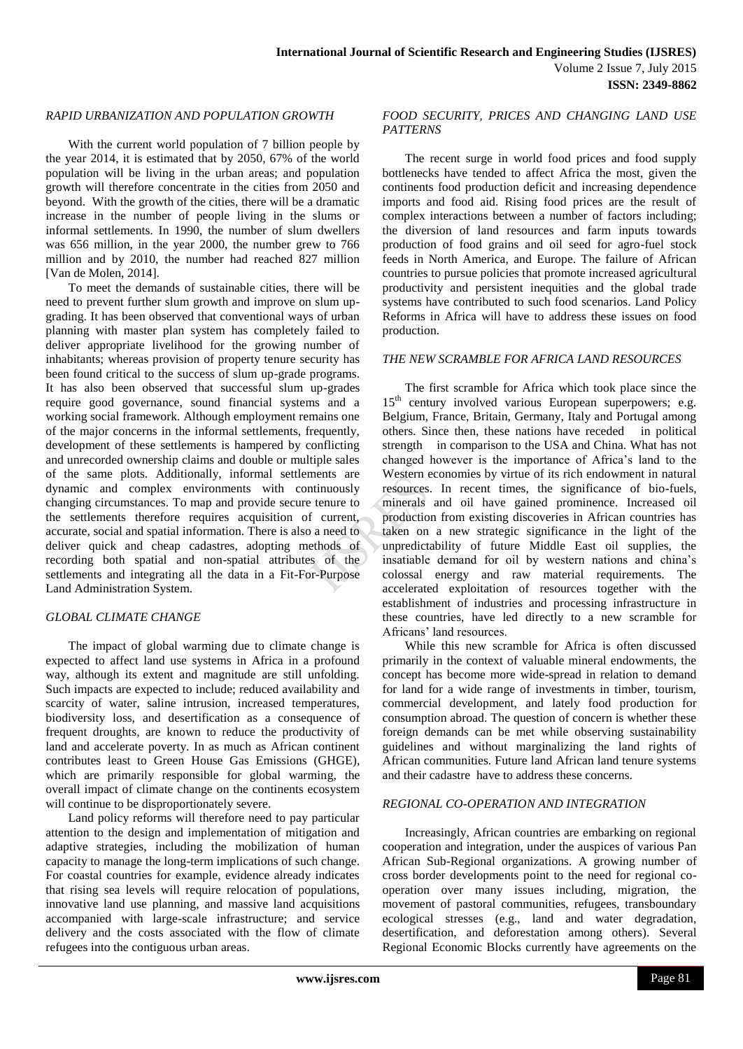## *RAPID URBANIZATION AND POPULATION GROWTH*

With the current world population of 7 billion people by the year 2014, it is estimated that by 2050, 67% of the world population will be living in the urban areas; and population growth will therefore concentrate in the cities from 2050 and beyond. With the growth of the cities, there will be a dramatic increase in the number of people living in the slums or informal settlements. In 1990, the number of slum dwellers was 656 million, in the year 2000, the number grew to 766 million and by 2010, the number had reached 827 million [Van de Molen, 2014].

To meet the demands of sustainable cities, there will be need to prevent further slum growth and improve on slum upgrading. It has been observed that conventional ways of urban planning with master plan system has completely failed to deliver appropriate livelihood for the growing number of inhabitants; whereas provision of property tenure security has been found critical to the success of slum up-grade programs. It has also been observed that successful slum up-grades require good governance, sound financial systems and a working social framework. Although employment remains one of the major concerns in the informal settlements, frequently, development of these settlements is hampered by conflicting and unrecorded ownership claims and double or multiple sales of the same plots. Additionally, informal settlements are dynamic and complex environments with continuously changing circumstances. To map and provide secure tenure to the settlements therefore requires acquisition of current, accurate, social and spatial information. There is also a need to deliver quick and cheap cadastres, adopting methods of recording both spatial and non-spatial attributes of the settlements and integrating all the data in a Fit-For-Purpose Land Administration System.

#### *GLOBAL CLIMATE CHANGE*

The impact of global warming due to climate change is expected to affect land use systems in Africa in a profound way, although its extent and magnitude are still unfolding. Such impacts are expected to include; reduced availability and scarcity of water, saline intrusion, increased temperatures, biodiversity loss, and desertification as a consequence of frequent droughts, are known to reduce the productivity of land and accelerate poverty. In as much as African continent contributes least to Green House Gas Emissions (GHGE), which are primarily responsible for global warming, the overall impact of climate change on the continents ecosystem will continue to be disproportionately severe.

Land policy reforms will therefore need to pay particular attention to the design and implementation of mitigation and adaptive strategies, including the mobilization of human capacity to manage the long-term implications of such change. For coastal countries for example, evidence already indicates that rising sea levels will require relocation of populations, innovative land use planning, and massive land acquisitions accompanied with large-scale infrastructure; and service delivery and the costs associated with the flow of climate refugees into the contiguous urban areas.

#### *FOOD SECURITY, PRICES AND CHANGING LAND USE PATTERNS*

The recent surge in world food prices and food supply bottlenecks have tended to affect Africa the most, given the continents food production deficit and increasing dependence imports and food aid. Rising food prices are the result of complex interactions between a number of factors including; the diversion of land resources and farm inputs towards production of food grains and oil seed for agro-fuel stock feeds in North America, and Europe. The failure of African countries to pursue policies that promote increased agricultural productivity and persistent inequities and the global trade systems have contributed to such food scenarios. Land Policy Reforms in Africa will have to address these issues on food production.

# *THE NEW SCRAMBLE FOR AFRICA LAND RESOURCES*

The first scramble for Africa which took place since the 15<sup>th</sup> century involved various European superpowers; e.g. Belgium, France, Britain, Germany, Italy and Portugal among others. Since then, these nations have receded in political strength in comparison to the USA and China. What has not changed however is the importance of Africa's land to the Western economies by virtue of its rich endowment in natural resources. In recent times, the significance of bio-fuels, minerals and oil have gained prominence. Increased oil production from existing discoveries in African countries has taken on a new strategic significance in the light of the unpredictability of future Middle East oil supplies, the insatiable demand for oil by western nations and china's colossal energy and raw material requirements. The accelerated exploitation of resources together with the establishment of industries and processing infrastructure in these countries, have led directly to a new scramble for Africans' land resources.

While this new scramble for Africa is often discussed primarily in the context of valuable mineral endowments, the concept has become more wide-spread in relation to demand for land for a wide range of investments in timber, tourism, commercial development, and lately food production for consumption abroad. The question of concern is whether these foreign demands can be met while observing sustainability guidelines and without marginalizing the land rights of African communities. Future land African land tenure systems and their cadastre have to address these concerns.

### *REGIONAL CO-OPERATION AND INTEGRATION*

Increasingly, African countries are embarking on regional cooperation and integration, under the auspices of various Pan African Sub-Regional organizations. A growing number of cross border developments point to the need for regional cooperation over many issues including, migration, the movement of pastoral communities, refugees, transboundary ecological stresses (e.g., land and water degradation, desertification, and deforestation among others). Several Regional Economic Blocks currently have agreements on the